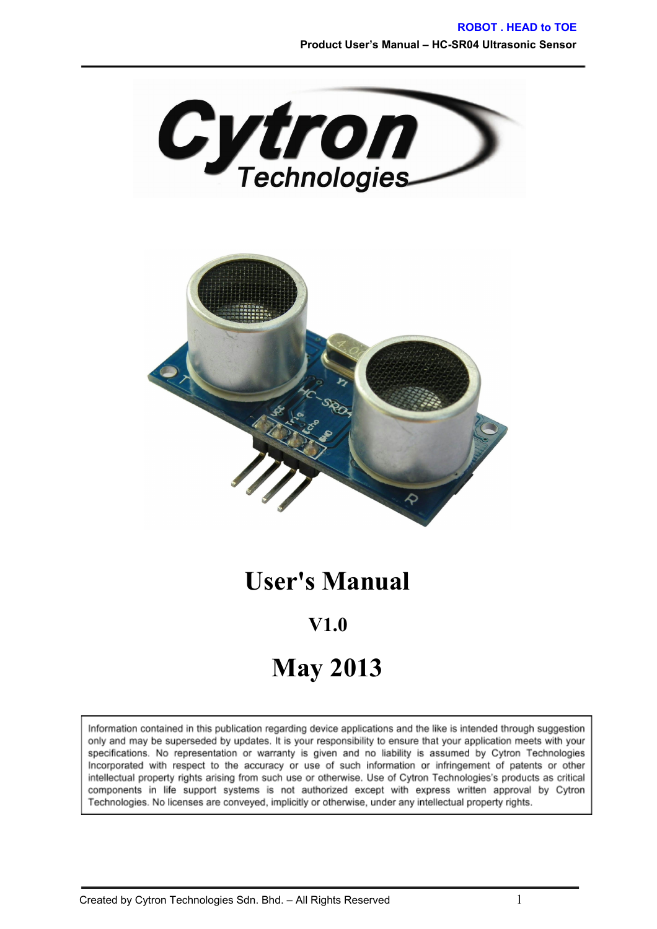



### **User's Manual**

# **V1.0 May 2013**

#### Information contained in this publication regarding device applications and the like is intended through suggestion only and may be superseded by updates. It is your responsibility to ensure that your application meets with your specifications. No representation or warranty is given and no liability is assumed by Cytron Technologies Incorporated with respect to the accuracy or use of such information or infringement of patents or other intellectual property rights arising from such use or otherwise. Use of Cytron Technologies's products as critical components in life support systems is not authorized except with express written approval by Cytron Technologies. No licenses are conveyed, implicitly or otherwise, under any intellectual property rights.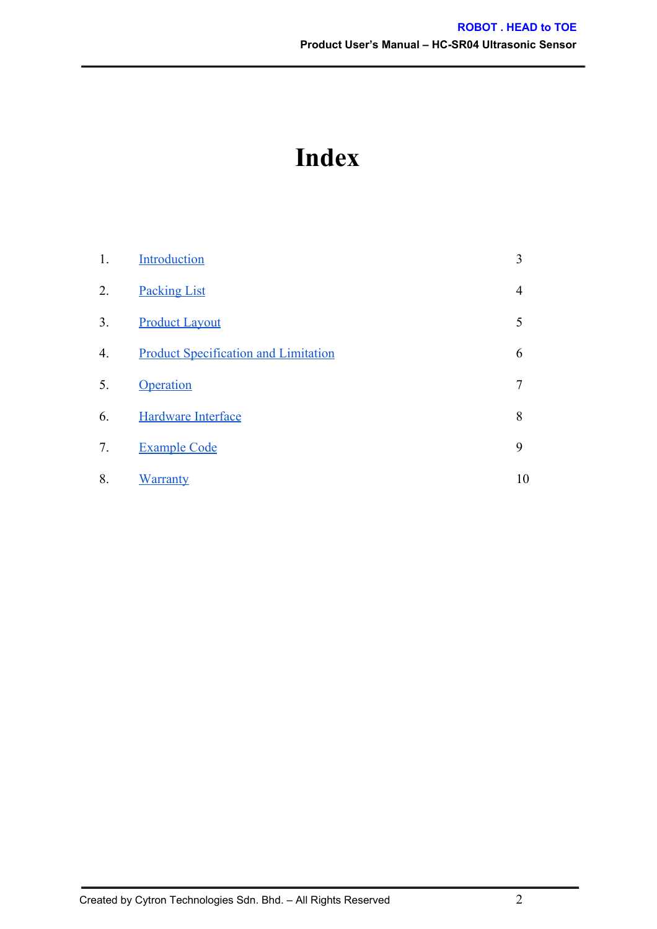## **Index**

| 1. | Introduction                                | 3              |
|----|---------------------------------------------|----------------|
| 2. | <b>Packing List</b>                         | 4              |
| 3. | <b>Product Layout</b>                       | 5              |
| 4. | <b>Product Specification and Limitation</b> | 6              |
| 5. | Operation                                   | $\overline{7}$ |
| 6. | Hardware Interface                          | 8              |
| 7. | <b>Example Code</b>                         | 9              |
| 8. | <b>Warranty</b>                             | 10             |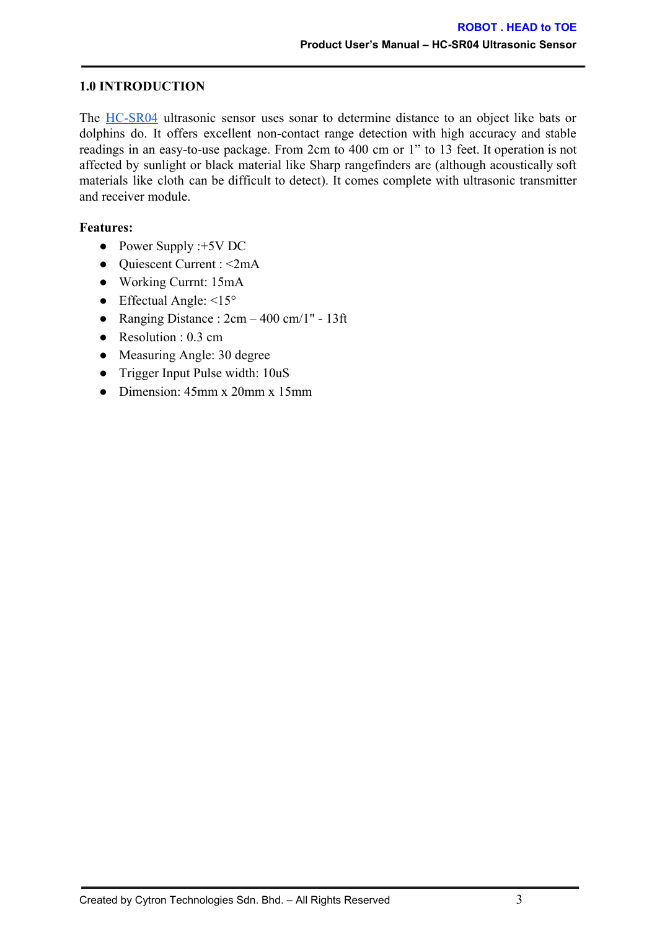#### <span id="page-2-0"></span>**1.0 INTRODUCTION**

The HC-SR04 ultrasonic sensor uses sonar to determine distance to an object like bats or dolphins do. It offers excellent non-contact range detection with high accuracy and stable readings in an easy-to-use package. From 2cm to 400 cm or 1" to 13 feet. It operation is not affected by sunlight or black material like Sharp rangefinders are (although acoustically soft materials like cloth can be difficult to detect). It comes complete with ultrasonic transmitter and receiver module.

#### **Features:**

- Power Supply :+5V DC
- Quiescent Current : <2mA
- Working Currnt: 15mA
- Effectual Angle:  $\leq 15^{\circ}$
- Ranging Distance :  $2cm 400$  cm/1" 13ft
- Resolution : 0.3 cm
- Measuring Angle: 30 degree
- Trigger Input Pulse width: 10uS
- Dimension: 45mm x 20mm x 15mm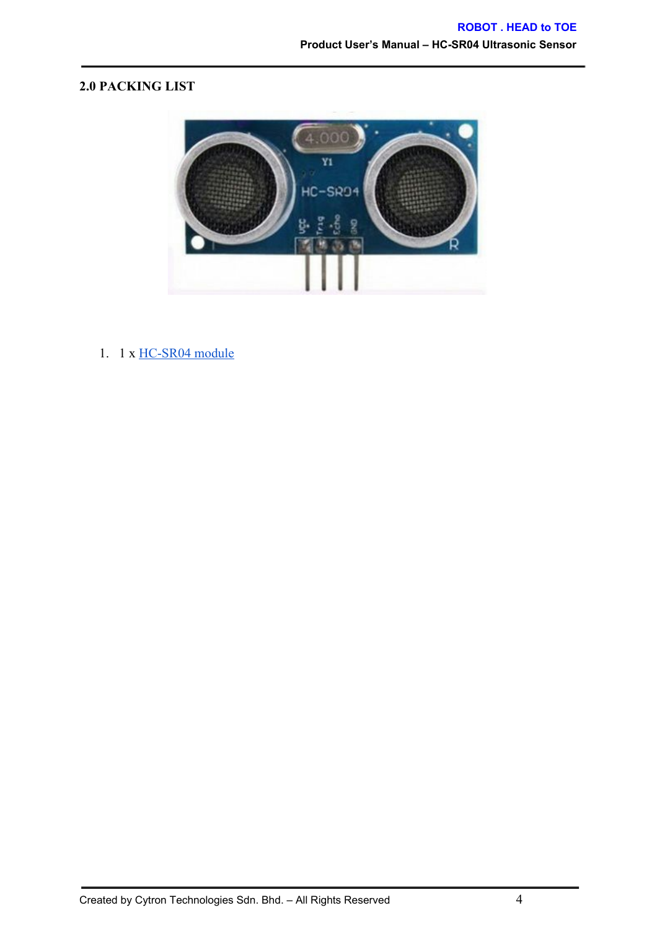#### <span id="page-3-0"></span>**2.0 PACKING LIST**



1.  $1 \times \text{HC-SR04}$  module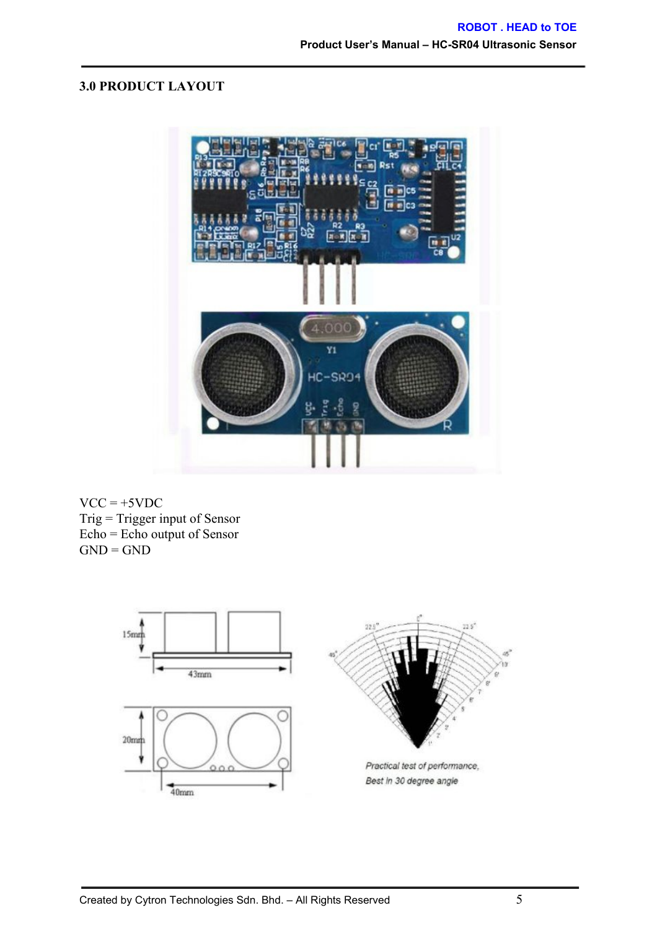#### <span id="page-4-0"></span>**3.0 PRODUCT LAYOUT**

![](_page_4_Picture_2.jpeg)

 $VCC = +5VDC$ Trig = Trigger input of Sensor Echo = Echo output of Sensor  $GND = GND$ 

![](_page_4_Figure_4.jpeg)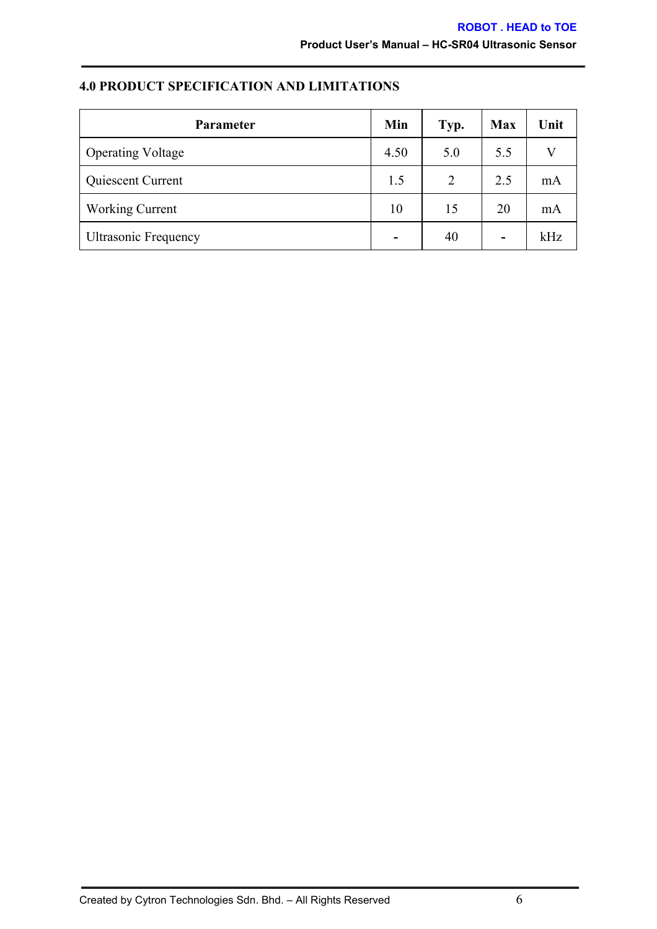### <span id="page-5-0"></span>**4.0 PRODUCT SPECIFICATION AND LIMITATIONS**

| <b>Parameter</b>            | Min | Typ. | <b>Max</b> | Unit |
|-----------------------------|-----|------|------------|------|
| <b>Operating Voltage</b>    |     | 5.0  | 5.5        |      |
| Quiescent Current           |     | 2    | 2.5        | mA   |
| <b>Working Current</b>      |     | 15   | 20         | mA   |
| <b>Ultrasonic Frequency</b> |     | 40   | -          | kHz  |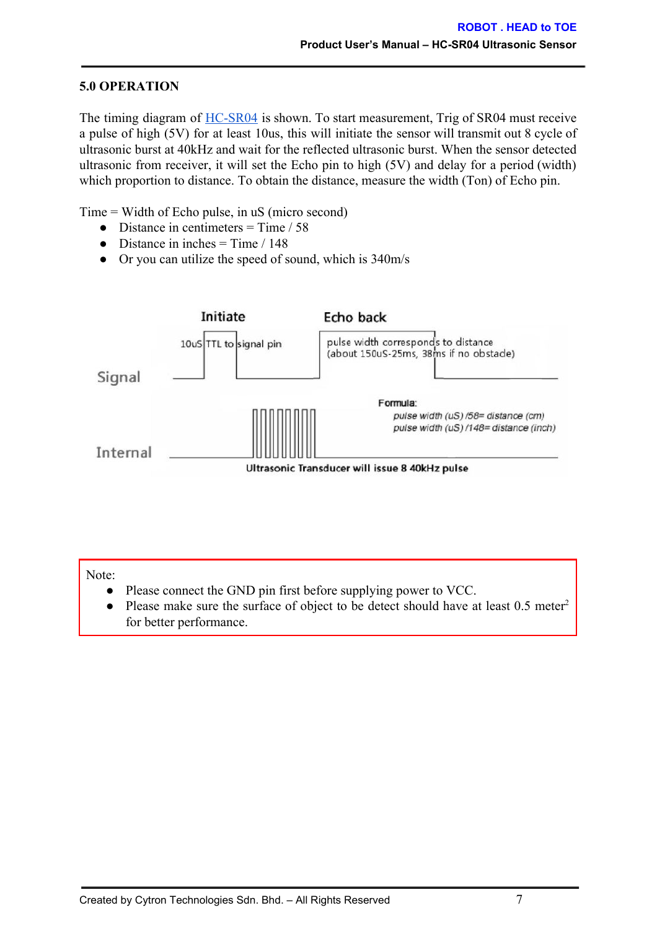#### <span id="page-6-0"></span>**5.0 OPERATION**

The timing diagram of **HC-SR04** is shown. To start measurement, Trig of SR04 must receive a pulse of high (5V) for at least 10us, this will initiate the sensor will transmit out 8 cycle of ultrasonic burst at 40kHz and wait for the reflected ultrasonic burst. When the sensor detected ultrasonic from receiver, it will set the Echo pin to high (5V) and delay for a period (width) which proportion to distance. To obtain the distance, measure the width (Ton) of Echo pin.

Time = Width of Echo pulse, in uS (micro second)

- Distance in centimeters  $=$  Time / 58
- Distance in inches  $=$  Time / 148
- Or you can utilize the speed of sound, which is  $340m/s$

![](_page_6_Figure_7.jpeg)

Note:

- Please connect the GND pin first before supplying power to VCC.
- Please make sure the surface of object to be detect should have at least 0.5 meter<sup>2</sup> for better performance.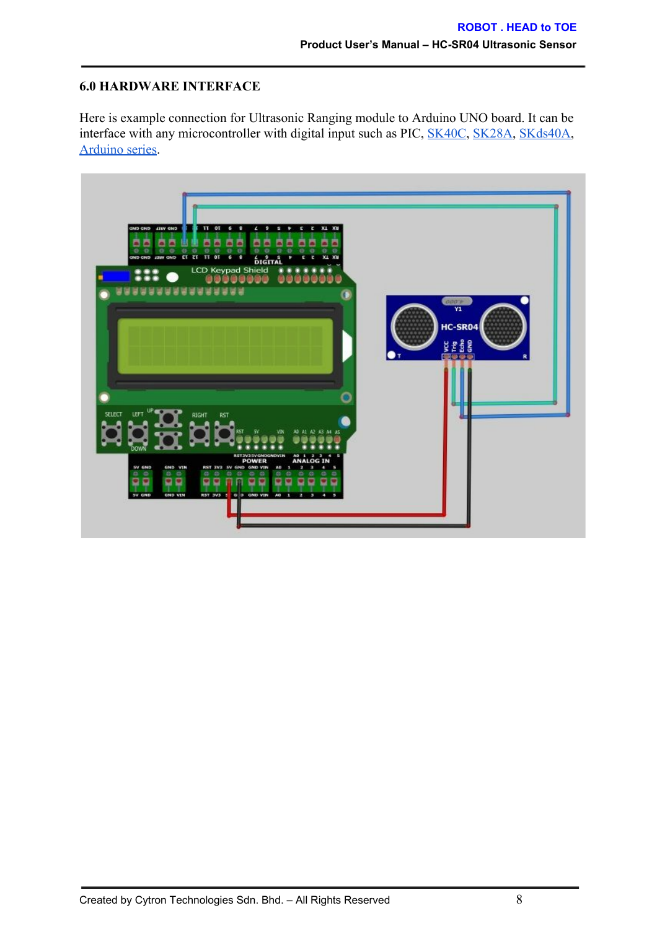#### <span id="page-7-0"></span>**6.0 HARDWARE INTERFACE**

Here is example connection for Ultrasonic Ranging module to Arduino UNO board. It can be interface with any microcontroller with digital input such as PIC, [SK40C,](http://cytron.com.my/p-sk40c) [SK28A,](http://cytron.com.my/p-sk28a) [SKds40A,](http://cytron.com.my/p-skds40a) [Arduino](http://cytron.com.my/c-441-arduino/c-442-main-board) series.

![](_page_7_Picture_3.jpeg)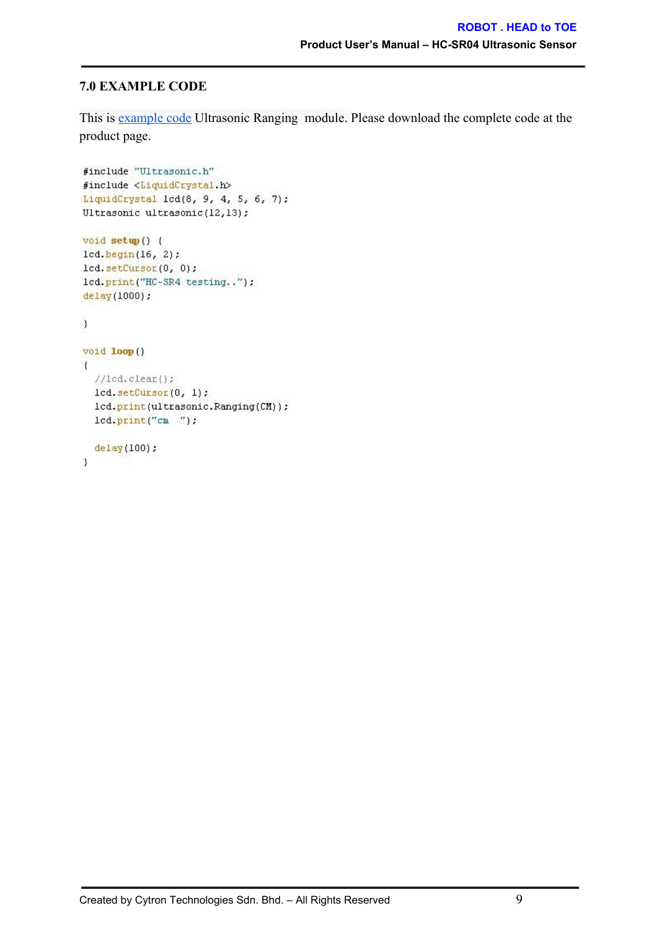#### <span id="page-8-0"></span>**7.0 EXAMPLE CODE**

This is [example](http://cytron.com.my/p-sn-hc-sr04) code Ultrasonic Ranging module. Please download the complete code at the product page.

```
#include "Ultrasonic.h"
#include <LiquidCrystal.h>
LiquidCrystal 1cd(8, 9, 4, 5, 6, 7);
Ultrasonic ultrasonic(12,13);
void setup() {
lcd. begin(16, 2);
1cd. setCursor(0, 0);lcd.print("HC-SR4 testing..");
delay(1000);
\overline{\phantom{a}}void loop ()
\{//lcd.clear();lcd. setCursort(0, 1);lcd.print(ultrasonic.Ranging(CM));
  lcd.print("cm ");
  delay(100);\}
```